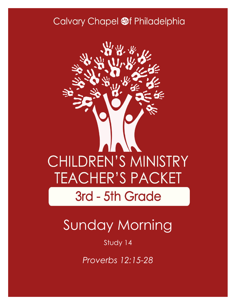### Calvary Chapel @f Philadelphia



# Sunday Morning

#### Study 14

*Proverbs 12:15-28*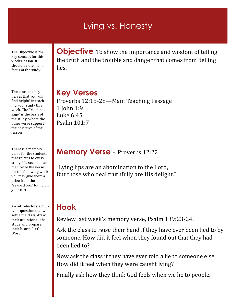#### Lying vs. Honesty

The Objective is the key concept for this weeks lesson. It should be the main focus of the study

These are the key verses that you will find helpful in teaching your study this week. The "Main passage" is the basis of the study, where the other verse support the objective of the lesson.

There is a memory verse for the students that relates to every study. If a student can memorize the verse for the following week you may give them a prize from the "reward box" found on your cart.

An introductory activity or question that will settle the class, draw their attention to the study and prepare their hearts for God's Word

**Objective** To show the importance and wisdom of telling the truth and the trouble and danger that comes from telling lies.

**Key Verses** Proverbs 12:15-28—Main Teaching Passage 1 John 1:9 Luke 6:45 Psalm 101:7

#### **Memory Verse** - Proverbs 12:22

"Lying lips are an abomination to the Lord, But those who deal truthfully are His delight."

#### **Hook**

Review last week's memory verse, Psalm 139:23-24.

Ask the class to raise their hand if they have ever been lied to by someone. How did it feel when they found out that they had been lied to?

Now ask the class if they have ever told a lie to someone else. How did it feel when they were caught lying?

Finally ask how they think God feels when we lie to people.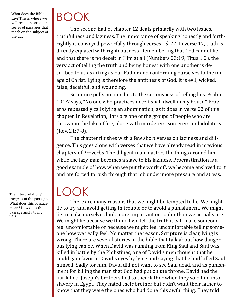What does the Bible say? This is where we will read a passage or series of passages that teach on the subject of the day.

# BOOK

The second half of chapter 12 deals primarily with two issues, truthfulness and laziness. The importance of speaking honestly and forthrightly is conveyed powerfully through verses 15-22. In verse 17, truth is directly equated with righteousness. Remembering that God cannot lie and that there is no deceit in Him at all (Numbers 23:19, Titus 1:2), the very act of telling the truth and being honest with one another is described to us as acting as our Father and conforming ourselves to the image of Christ. Lying is therefore the antithesis of God. It is evil, wicked, false, deceitful, and wounding.

Scripture pulls no punches to the seriousness of telling lies. Psalm 101:7 says, "No one who practices deceit shall dwell in my house." Proverbs repeatedly calls lying an abomination, as it does in verse 22 of this chapter. In Revelation, liars are one of the groups of people who are thrown in the lake of fire, along with murderers, sorcerers and idolaters (Rev. 21:7-8).

The chapter finishes with a few short verses on laziness and diligence. This goes along with verses that we have already read in previous chapters of Proverbs. The diligent man masters the things around him while the lazy man becomes a slave to his laziness. Procrastination is a good example of how, when we put the work off, we become enslaved to it and are forced to rush through that job under more pressure and stress.

## LOOK

There are many reasons that we might be tempted to lie. We might lie to try and avoid getting in trouble or to avoid a punishment. We might lie to make ourselves look more important or cooler than we actually are. We might lie because we think if we tell the truth it will make someone feel uncomfortable or because we might feel uncomfortable telling someone how we really feel. No matter the reason, Scripture is clear, lying is wrong. There are several stories in the bible that talk about how dangerous lying can be. When David was running from King Saul and Saul was killed in battle by the Philistines, one of David's men thought that he could gain favor in David's eyes by lying and saying that he had killed Saul himself. Sadly for him, David did not want to see Saul dead, and as punishment for killing the man that God had put on the throne, David had the liar killed. Joseph's brothers lied to their father when they sold him into slavery in Egypt. They hated their brother but didn't want their father to know that they were the ones who had done this awful thing. They told

The interpretation/ exegesis of the passage. What does this passage mean? How does this passage apply to my life?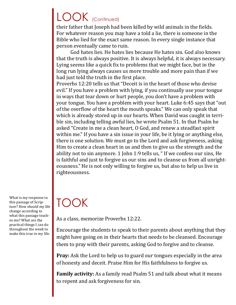## LOOK (Continued)

their father that Joseph had been killed by wild animals in the fields. For whatever reason you may have a told a lie, there is someone in the Bible who lied for the exact same reason. In every single instance that person eventually came to ruin.

God hates lies. He hates lies because He hates sin. God also knows that the truth is always positive. It is always helpful, it is always necessary. Lying seems like a quick fix to problems that we might face, but in the long run lying always causes us more trouble and more pain than if we had just told the truth in the first place.

Proverbs 12:20 tells us that "Deceit is in the heart of those who devise evil." If you have a problem with lying, if you continually use your tongue in ways that tear down or hurt people, you don't have a problem with your tongue. You have a problem with your heart. Luke 6:45 says that "out of the overflow of the heart the mouth speaks." We can only speak that which is already stored up in our hearts. When David was caught in terrible sin, including telling awful lies, he wrote Psalm 51. In that Psalm he asked "Create in me a clean heart, O God, and renew a steadfast spirit within me." If you have a sin issue in your life, be it lying or anything else, there is one solution. We must go to the Lord and ask forgiveness, asking Him to create a clean heart in us and then to give us the strength and the ability not to sin anymore. 1 John 1:9 tells us, " If we confess our sins, He is faithful and just to forgive us our sins and to cleanse us from all unrighteousness." He is not only willing to forgive us, but also to help us live in righteousness.

### TOOK

As a class, memorize Proverbs 12:22.

Encourage the students to speak to their parents about anything that they might have going on in their hearts that needs to be cleansed. Encourage them to pray with their parents, asking God to forgive and to cleanse.

**Pray:** Ask the Lord to help us to guard our tongues especially in the area of honesty and deceit. Praise Him for His faithfulness to forgive us.

**Family activity:** As a family read Psalm 51 and talk about what it means to repent and ask forgiveness for sin.

What is my response to this passage of Scripture? How should my life change according to what this passage teaches me? What are the practical things I can do throughout the week to make this true in my life.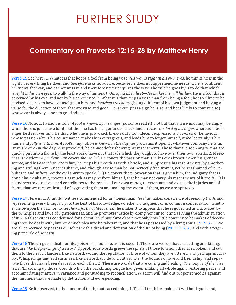## FURTHER STUDY

#### **Commentary on Proverbs 12:15-28 by Matthew Henry**

[Verse 15](http://www.biblestudytools.com/proverbs/12-15.html) See here, 1. What it is that keeps a fool from being wise: *His way is right in his own eyes;* he thinks he is in the right in every thing he does, and *therefore* asks no advice, because he does not apprehend he needs it; he is confident he knows the way, and cannot miss it, and therefore never enquires the way. The rule he goes by is to do that which is *right in his own eyes,* to walk in the way of his heart. *Quicquid libet, licet—He makes his will his law.* He is a fool that is governed by his eye, and not by his conscience. 2. What it is that keeps a wise man from being a fool; he is willing to be advised, desires to have counsel given him, and *hearkens to counsel,*being diffident of his own judgment and having a value for the direction of those that are wise and good. He is wise (it is a sign he is so, and he is likely to continue so) whose ear is always open to good advice.

[Verse 16](http://www.biblestudytools.com/proverbs/12-16.html) Note, 1. Passion is folly: *A fool is known by his anger* (so some read it); not but that a wise man may be angry when there is just cause for it, but then he has his anger under check and direction, is *lord of his anger,*whereas a fool's anger lords it over him. He that, when he is provoked, breaks out into indecent expressions, in words or behaviour, whose passion alters his countenance, makes him outrageous, and leads him to forget himself, *Nabal* certainly is his name and *folly is with him. A fool's indignation is known in the day;* he proclaims it openly, whatever company he is in. Or it is known in the day he is provoked; he cannot defer showing his resentments. Those that are soon angry, that are quickly put into a flame by the least spark, have not that rule which they ought to have over their own spirits. 2. Meekness is wisdom: *A prudent man covers shame.* (1.) He covers the passion that is in his own breast; when his *spirit is stirred,* and his *heart hot within him,* he keeps his mouth as with a bridle, and suppresses his resentments, by smothering and stifling them. Anger is shame, and, though a wise man be not perfectly free from it, yet he is ashamed of it, rebukes it, and suffers not the evil spirit to speak. (2.) He covers the provocation that is given him, the indignity that is done him, winks at it, covers it as much as may be from himself, that he may not carry his resentments of it too far. It is a kindness to ourselves, and contributes to the repose of our own minds, to extenuate and excuse the injuries and affronts that we receive, instead of aggravating them and making the worst of them, as we are apt to do.

[Verse 17](http://www.biblestudytools.com/proverbs/12-17.html) Here is, 1. A faithful witness commended for an honest man. *He that* makes conscience of *speaking truth,* and representing every thing fairly, to the best of his knowledge, whether in judgment or in common conversation, whether he be upon his oath or no, he *shows forth righteousness;* he makes it to appear that he is governed and actuated by the principles and laws of righteousness, and he promotes justice by doing honour to it and serving the administration of it. 2. A false witness condemned for a cheat; he *shows forth deceit,* not only how little conscience he makes of deceiving those he deals with, but how much pleasure he takes in it, and that he is possessed by a lying spirit, [Jer.](http://www.biblestudytools.com/jeremiah/9-3.html) 9:3 - 5. We are all concerned to possess ourselves with a dread and detestation of the sin of lying  $(P_s. 119:163)$  $(P_s. 119:163)$  $(P_s. 119:163)$  and with a reigning principle of honesty.

[Verse 18](http://www.biblestudytools.com/proverbs/12-18.html) The tongue is death or life, poison or medicine, as it is used. 1. There are words that are cutting and killing, that are *like the piercings of a sword.* Opprobrious words grieve the spirits of those to whom they are spoken, and cut them to the heart. Slanders, like a sword, wound the reputation of those of whom they are uttered, and perhaps incurably. Whisperings and evil surmises, like a sword, divide and cut asunder the bounds of love and friendship, and separate those that have been dearest to each other. 2. There are words that are curing and healing: *The tongue of the wise is health,* closing up those wounds which the backbiting tongue had given, making all whole again, restoring peace, and accommodating matters in variance and persuading to reconciliation. Wisdom will find out proper remedies against the mischiefs that are made by detraction and evil-speaking.

[Verse 19](http://www.biblestudytools.com/proverbs/12-19.html) Be it observed, to the honour of truth, that sacred thing, 1. That, if truth be spoken, it will hold good, and,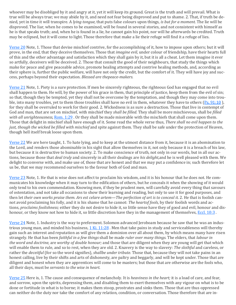whoever may be disobliged by it and angry at it, yet it will keep its ground. Great is the truth and will prevail. What is true will be always true; we may abide by it, and need not fear being disproved and put to shame. 2. That, if truth be denied, yet in time it will transpire. A *lying tongue,* that puts false colours upon things, *is but for a moment.* The lie will be disproved. The liar, when he comes to be examined, will be found in several stories, and not consistent with himself as he is that speaks truth; and, when he is found in a lie, he cannot gain his point, nor will he afterwards be credited. Truth may be eclipsed, but it will come to light. Those therefore that make a lie their refuge will find it a refuge of lies.

[Verse 20](http://www.biblestudytools.com/proverbs/12-20.html) Note, 1. Those that devise mischief contrive, for the accomplishing of it, how to impose upon others; but it will prove, in the end, that they deceive themselves. Those that *imagine evil,* under colour of friendship, have their hearts full of this and the other advantage and satisfaction which they shall gain by it, but it is all a cheat. Let them imagine it ever so artfully, deceivers will be deceived. 2. Those that consult the good of their neighbours, that study the things which make for peace and give peaceable advice, promote healing attempts and contrive healing methods, and, according as their sphere is, further the public welfare, will have not only the credit, but the comfort of it. They will have joy and success, perhaps beyond their expectation. *Blessed are thepeace-makers.*

[Verse 21](http://www.biblestudytools.com/proverbs/12-21.html) Note, 1. Piety is a sure protection. If men be sincerely righteous, the righteous God has engaged that no evil shall happen to them. He will, by the power of his grace in them, that principle of justice, keep them from the evil of sin; so that, though they be tempted, yet they shall not be overcome by the temptation, and though they may come into trou-ble, into many troubles, yet to them those troubles shall have no evil in them, whatever they have to others (Ps. [91:10](http://www.biblestudytools.com/psalms/91-10.html)), for they shall be overruled to work for their good. 2. Wickedness is as sure a destruction. Those that live in contempt of God and man, that are set on mischief, with mischief they *shall be filled.* They shall be more mischievous, shall be *filled with all unrighteousness,* [Rom.](http://www.biblestudytools.com/romans/1-29.html) 1:29 . Or they shall be made miserable with the mischiefs that shall come upon them. Those that delight in mischief shall have enough of it. Some read the whole verse thus, *There shall no evil happen to the just, though the wicked be filled with mischief* and spite against them. They shall be safe under the protection of Heaven, though hell itself break loose upon them.

[Verse 22](http://www.biblestudytools.com/proverbs/12-22.html) We are here taught, 1. To hate lying, and to keep at the utmost distance from it, because it is an abomination to the Lord, and renders those abominable in his sight that allow themselves in it, not only because it is a breach of his law, but because it is destructive to human society. 2. To make conscience of truth, not only in our words, but in all our actions, because those that *deal truly* and sincerely in all their dealings are *his delight,*and he is well pleased with them. We delight to converse with, and make use of, those that are honest and that we may put a confidence in; such therefore let us be, that we may recommend ourselves to the favour both of God and man.

[Verse 23](http://www.biblestudytools.com/proverbs/12-23.html) Note, 1. He that is wise does not affect to proclaim his wisdom, and it is his honour that he does not. He communicates his knowledge when it may turn to the edification of others, but he conceals it when the showing of it would only tend to his own commendation. Knowing men, if they be prudent men, will carefully avoid every thing that savours of ostentation, and not take all occasions to show their learning and reading, but only to use it for good purposes, and then let *their own works praise them. Ars est celare artem—The perfection of art is to conceal it.* 2. He that is foolish cannot avoid proclaiming his folly, and it is his shame that he cannot: *The heartof fools,* by their foolish words and actions, *proclaims foolishness;* either they do not desire to hide it, so little sense have they of good and evil, honour and dis-honour, or they know not how to hide it, so little discretion have they in the management of themselves, Eccl. [10:3](http://www.biblestudytools.com/ecclesiastes/10-3.html).

[Verse 24](http://www.biblestudytools.com/proverbs/12-24.html) Note, 1. Industry is the way to preferment. Solomon advanced Jeroboam because he saw that he was an industrious young man, and minded his business,  $1$  Ki.  $11:28$ . Men that take pains in study and serviceableness will thereby gain such an interest and reputation as will give them a dominion over all about them, by which means many have risen strangely. He that has been *faithful in a few things* shall be made *ruler over many things.* The elders, that *labour in the word and doctrine,* are *worthy of double honour;* and those that are diligent when they are young will get that which will enable them to rule, and so to rest, when they are old. 2. Knavery is the way to slavery: *The slothful* and careless, or rather the *deceitful* (for so the word signifies), *shallbe under tribute.* Those that, because they will not take pains in an honest calling, live by their shifts and arts of dishonesty, are paltry and beggarly, and will be kept under. Those that are diligent and honest when they are apprentices will come to be masters; but those that are otherwise are the fools who, all their days, must be *servants to the wise in heart.*

[Verse 25](http://www.biblestudytools.com/proverbs/12-25.html) Here is, 1. The cause and consequence of melancholy. It is *heaviness in the heart;* it is a load of care, and fear, and sorrow, upon the spirits, depressing them, and disabling them to exert themselves with any vigour on what is to be done or fortitude in what is to borne; it makes them stoop, prostrates and sinks them. Those that are thus oppressed can neither do the duty nor take the comfort of any relation, condition, or conversation. Those therefore that are in